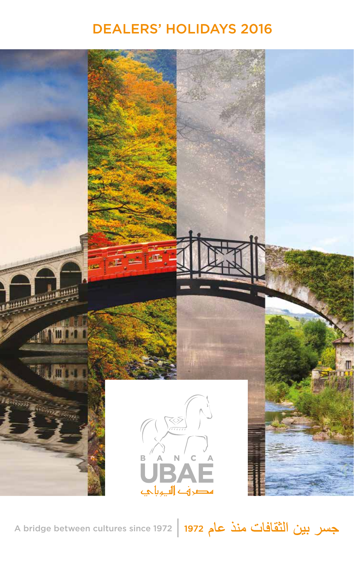# DEALERS' HOLIDAYS 2016



A bridge between cultures since 1972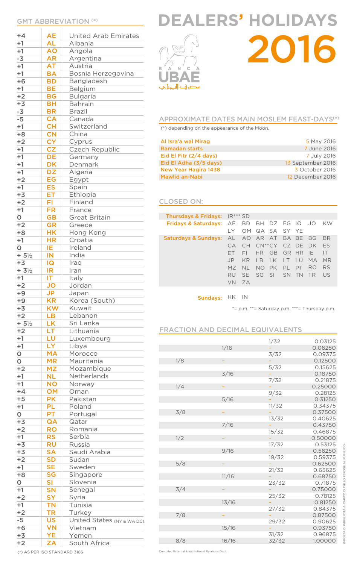# GMT ABBREVIATION ( \*)

 $\begin{array}{c} \hline \end{array}$ 

| $+4$                 | <b>AE</b>                | United Arab Emirates       |
|----------------------|--------------------------|----------------------------|
| $+1$                 | <b>AL</b>                | Albania                    |
| $+1$                 | <b>AO</b>                | Angola                     |
| $-3$                 | <b>AR</b>                | Argentina                  |
| $+1$                 | <b>AT</b>                | Austria                    |
| $+1$                 | <b>BA</b>                | Bosnia Herzegovina         |
| $+6$                 | <b>BD</b>                | Bangladesh                 |
| $+1$                 | BE                       | Belgium                    |
| $+2$                 | <b>BG</b>                | <b>Bulgaria</b>            |
| $+3$                 | <b>BH</b>                | <b>Bahrain</b>             |
| $-3$                 | <b>BR</b>                | <b>Brazil</b>              |
| $-5$                 | <b>CA</b>                | Canada                     |
| $+1$                 | <b>CH</b>                | Switzerland                |
| $+8$                 | <b>CN</b>                | China                      |
| $+2$                 | <b>CY</b>                | Cyprus                     |
| $+1$                 | CZ                       | Czech Republic             |
| $+1$                 | DE                       | Germany                    |
| $+1$                 | DK                       | Denmark                    |
| $+1$                 | $\overline{DZ}$          |                            |
|                      |                          | Algeria                    |
| $+2$                 | EG                       | Egypt                      |
| $+1$                 | $\overline{\mathsf{ES}}$ | Spain                      |
| $+3$                 | ET                       | Ethiopia                   |
| $+2$                 | FI                       | Finland                    |
| $+1$                 | FR                       | France                     |
| O                    | $\overline{\mathsf{GB}}$ | <b>Great Britain</b>       |
| $+2$                 | <b>GR</b>                | Greece                     |
| $+8$                 | <b>HK</b>                | Hong Kong                  |
| $+1$                 | <b>HR</b>                | Croatia                    |
| $\mathbf O$          | ΙE                       | Ireland                    |
| $+5\frac{1}{2}$      | IN                       | India                      |
| $+3$                 | IQ                       | Iraq                       |
| $+ 3\frac{1}{2}$     | IR                       | Iran                       |
| $+1$                 | ΙT                       | Italy                      |
|                      |                          |                            |
| $+2$                 | <b>JO</b>                | Jordan                     |
| $+9$                 |                          | Japan                      |
|                      | <b>JP</b>                |                            |
| $+9$                 | <b>KR</b>                | Korea (South)<br>Kuwait    |
| $+3$                 | <b>KW</b>                | Lebanon                    |
| $+2$                 | LB                       |                            |
| $+5\frac{1}{2}$      | LK                       | Sri Lanka                  |
| $+2$                 | ЕŦ                       | Lithuania                  |
| $+1$                 | LU                       | Luxembourg                 |
| $+1$                 | LY                       | Libya                      |
| $\circ$              | <b>MA</b>                | Morocco                    |
| O                    | <b>MR</b>                | Mauritania                 |
| $+2$                 | <b>MZ</b>                | Mozambique                 |
| $+1$                 | <b>NL</b>                | Netherlands                |
|                      | <b>NO</b>                | Norway                     |
| $+4$                 | OM                       | Oman                       |
| $+5$                 | <b>PK</b>                | Pakistan                   |
| $+1$                 | PL                       | Poland                     |
| O                    | PT                       | Portugal                   |
| $+3$                 | QA                       | Qatar                      |
| $+2$                 | <b>RO</b>                | Romania                    |
| $+1$                 | <b>RS</b>                | Serbia                     |
|                      | <b>RU</b>                | Russia                     |
| $+3$                 | <b>SA</b>                | Saudi Arabia               |
| $+2$                 | <b>SD</b>                | Sudan                      |
| $+1$                 | <b>SE</b>                | Sweden                     |
| $+8$                 | SG                       | Singapore                  |
| $\circ$              | SI                       | Slovenia                   |
| $+1$<br>$+3$<br>$+1$ | <b>SN</b>                | Senegal                    |
| $+2$                 | <b>SY</b>                | Syria                      |
|                      |                          | Tunisia                    |
| $+2$                 | <b>TN</b>                | Turkey                     |
| $+1$<br>$-5$         | <b>TR</b><br><b>US</b>   |                            |
| $+6$                 |                          | United States (NY & WA DC) |
| $+3$                 | <b>VN</b><br>YE          | Vietnam<br>Yemen           |

# EALERS' HOLIDAYS



# 2016

# APPROXIMATE DATES MAIN MOSLEM FEAST-DAYS<sup>(\*)</sup>

(\*) depending on the appearance of the Moon.

| Al Isra'a wal Mirag         | 5 May 2016        |
|-----------------------------|-------------------|
| <b>Ramadan starts</b>       | 7 June 2016       |
| Eid El Fitr $(2/4$ days)    | 7 July 2016       |
| Eid El Adha (3/5 days)      | 13 September 2016 |
| <b>New Year Hagira 1438</b> | 3 October 2016    |
| Mawlid an-Nabi              | 12 December 2016  |

# CLOSED ON:

| Thursdays & Fridays: IR*** SD                        |           |                   |                |  |                       |           |
|------------------------------------------------------|-----------|-------------------|----------------|--|-----------------------|-----------|
| Fridays & Saturdays: AE BD BH DZ EG IQ JO KW         |           |                   |                |  |                       |           |
|                                                      |           | LY OM QA SA SY YE |                |  |                       |           |
| <b>Saturdays &amp; Sundays:</b> AL AO AR AT BA BE BG |           |                   |                |  |                       | - BR      |
|                                                      | C.A       |                   |                |  | CH CN**CY CZ DE DK ES |           |
|                                                      | FT.       | EL.               |                |  | FR GB GR HR IE IT     |           |
|                                                      | $\Box P$  | <b>KR</b>         | LB LK LT LU MA |  |                       | MR.       |
|                                                      | MZ.       | NI.               | NO PK PL PT    |  | RO.                   | <b>RS</b> |
|                                                      | <b>RU</b> | SE SG SI SN TN TR |                |  |                       | US.       |
|                                                      |           |                   |                |  |                       |           |
|                                                      | VN.       | - 7 A             |                |  |                       |           |

Sundays: HK IN

\*= p.m. \*\*= Saturday p.m. \*\*\*= Thursday p.m.

# FRACTION AND DECIMAL EQUIVALENTS

|     |       | 1/32  | 0.03125 |
|-----|-------|-------|---------|
|     | 1/16  |       | 0.06250 |
|     |       | 3/32  | 0.09375 |
| 1/8 |       |       | 0.12500 |
|     |       | 5/32  | 0.15625 |
|     | 3/16  |       | 0.18750 |
|     |       | 7/32  | 0.21875 |
| 1/4 |       |       | 0.25000 |
|     |       | 9/32  | 0.28125 |
|     | 5/16  |       | 0.31250 |
|     |       | 11/32 | 0.34375 |
| 3/8 |       |       | 0.37500 |
|     |       | 13/32 | 0.40625 |
|     | 7/16  |       | 0.43750 |
|     |       | 15/32 | 0.46875 |
| 1/2 |       |       | 0.50000 |
|     |       | 17/32 | 0.53125 |
|     | 9/16  |       | 0.56250 |
|     |       | 19/32 | 0.59375 |
| 5/8 |       |       | 0.62500 |
|     |       | 21/32 | 0.65625 |
|     | 11/16 |       | 0.68750 |
|     |       | 23/32 | 0.71875 |
| 3/4 |       |       | 0.75000 |
|     |       | 25/32 | 0.78125 |
|     | 13/16 |       | 0.81250 |
|     |       | 27/32 | 0.84375 |
| 7/8 |       |       | 0.87500 |
|     |       | 29/32 | 0.90625 |
|     | 15/16 |       | 0.93750 |
|     |       | 31/32 | 0.96875 |
| 8/8 | 16/16 | 32/32 | 1.00000 |
|     |       |       |         |

IMPOSTA DI PUBBLICITÀ A CARICO DI CHI LO ESPONE AL PUBBLICO

(\*) AS PER ISO STANDARD 3166

Compiled External & Institutional Relations Dept.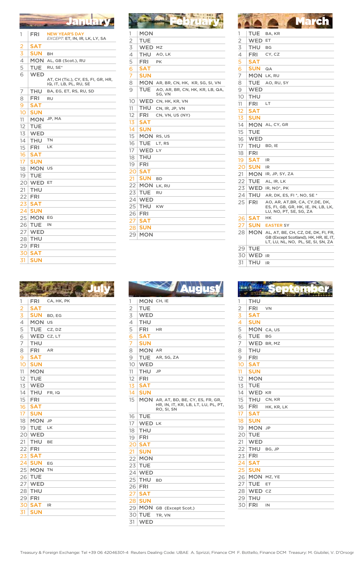# January February March

| 1                                                       | FRI        | <b>NEW YEAR'S DAY</b><br>EXCEPT: ET, IN, IR, LK, LY, SA      |
|---------------------------------------------------------|------------|--------------------------------------------------------------|
|                                                         | SAT        |                                                              |
| $\frac{2}{3}$ $\frac{3}{4}$ $\frac{4}{5}$ $\frac{5}{6}$ | SUN        | BН                                                           |
|                                                         | MON        | AL, GB (Scot.), RU                                           |
|                                                         | TUE        | RU, SE*                                                      |
|                                                         | <b>WED</b> | AT, CH (Tic.), CY, ES, FI, GR, HR,<br>IQ, IT, LB, PL, RU, SE |
| 7                                                       | THU        | BA, EG, ET, RS, RU, SD                                       |
| 8                                                       | FRI        | RU                                                           |
| 9                                                       | SAT        |                                                              |
| 10                                                      | SUN        |                                                              |
| 11                                                      | MON        | JP, MA                                                       |
| 12                                                      | TUE        |                                                              |
| 13                                                      | <b>WED</b> |                                                              |
| 14                                                      | <b>THU</b> | TN                                                           |
| 15                                                      | <b>FRI</b> | LK                                                           |
| 16                                                      | <b>SAT</b> |                                                              |
| 17                                                      | SUN        |                                                              |
| 18                                                      | <b>MON</b> | US                                                           |
| 19                                                      | TUE        |                                                              |
| 20                                                      | <b>WED</b> | ET.                                                          |
| 21                                                      | THU        |                                                              |
| 22                                                      | <b>FRI</b> |                                                              |
| 23                                                      | <b>SAT</b> |                                                              |
| 24                                                      | <b>SUN</b> |                                                              |
| 25                                                      | <b>MON</b> | EG                                                           |
| 26                                                      | <b>TUE</b> | IN                                                           |
| 27                                                      | <b>WED</b> |                                                              |
| 28                                                      | THU        |                                                              |
| 29                                                      | FRI        |                                                              |
| 30                                                      | <b>SAT</b> |                                                              |
| 31                                                      | <b>SUN</b> |                                                              |

|                                                                                     | <b>FRI</b> | CA, HK, PK |
|-------------------------------------------------------------------------------------|------------|------------|
|                                                                                     | <b>SAT</b> |            |
|                                                                                     | <b>SUN</b> | BD, EG     |
| $\frac{1}{2}$ $\frac{2}{3}$ $\frac{3}{4}$ $\frac{4}{5}$ $\frac{6}{6}$ $\frac{7}{7}$ | <b>MON</b> | US         |
|                                                                                     | <b>TUE</b> | CZ, DZ     |
|                                                                                     | WED        | CZ, LT     |
|                                                                                     | THU        |            |
| $\overline{8}$                                                                      | <b>FRI</b> | AR         |
| $\overline{9}$                                                                      | <b>SAT</b> |            |
| 10 <sup>1</sup>                                                                     | <b>SUN</b> |            |
| 11                                                                                  | <b>MON</b> |            |
| 12                                                                                  | <b>TUE</b> |            |
| 13                                                                                  | <b>WED</b> |            |
| 14                                                                                  | THU        | FR, IQ     |
| 15                                                                                  | FRI        |            |
| 16                                                                                  | <b>SAT</b> |            |
| 17                                                                                  | <b>SUN</b> |            |
| 18                                                                                  | <b>MON</b> | <b>JP</b>  |
| 19                                                                                  | <b>TUE</b> | LK         |
| 20                                                                                  | <b>WED</b> |            |
| 21                                                                                  | THU        | BE         |
| 22                                                                                  | <b>FRI</b> |            |
| 23                                                                                  | <b>SAT</b> |            |
| 24                                                                                  | <b>SUN</b> | EG         |
| 25                                                                                  | <b>MON</b> | <b>TN</b>  |
| 26                                                                                  | <b>TUE</b> |            |
| 27                                                                                  | <b>WED</b> |            |
| 28                                                                                  | <b>THU</b> |            |
| 29                                                                                  | <b>FRI</b> |            |
| 30                                                                                  | <b>SAT</b> | IR         |
| 31                                                                                  | SUN        |            |

| 1              | MON        |                                           |
|----------------|------------|-------------------------------------------|
| $\overline{2}$ | TUE        |                                           |
| $\overline{3}$ | <b>WED</b> | MZ                                        |
| $\overline{4}$ | THU        | AO, LK                                    |
| $\overline{5}$ | <b>FRI</b> | PK                                        |
| $\overline{6}$ | <b>SAT</b> |                                           |
| 7              | <b>SUN</b> |                                           |
| 8              | MON        | AR, BR, CN, HK, KR, SG, SI, VN            |
| 9              | TUE        | AO, AR, BR, CN, HK, KR, LB, QA,<br>SG, VN |
| 10             |            | WED CN, HK, KR, VN                        |
| 11             | <b>THU</b> | CN, IR, JP, VN                            |
| 12             | FRI        | CN, VN, US (NY)                           |
| 13             | <b>SAT</b> |                                           |
| 14             | <b>SUN</b> |                                           |
| 15             | MON        | RS, US                                    |
| 16             | TUE        | LT, RS                                    |
| 17             | <b>WED</b> | LY                                        |
| 18             | THU        |                                           |
| 19             | FRI        |                                           |
| 20             | <b>SAT</b> |                                           |
| 21             | <b>SUN</b> | <b>BD</b>                                 |
| 22             | MON        | LK, RU                                    |
| 23             | TUE        | RU                                        |
| 24             | <b>WED</b> |                                           |
| 25             | THU        | KW                                        |
| 26             | <b>FRI</b> |                                           |
| 27             | <b>SAT</b> |                                           |
| 28             | <b>SUN</b> |                                           |
| 29             | MON        |                                           |
|                |            |                                           |

| 1                                                                       | <b>TUE</b> | BA, KR                                                                                                              |
|-------------------------------------------------------------------------|------------|---------------------------------------------------------------------------------------------------------------------|
|                                                                         | <b>WED</b> | EТ                                                                                                                  |
|                                                                         | THU        | BG                                                                                                                  |
|                                                                         | FRI        | CY, CZ                                                                                                              |
|                                                                         | SAT        |                                                                                                                     |
| $\frac{2}{3}$ $\frac{3}{4}$ $\frac{4}{5}$ $\frac{6}{6}$ $\frac{7}{7}$ 8 | SUN        | QA                                                                                                                  |
|                                                                         | MON        | LK, RU                                                                                                              |
|                                                                         | TUE        | AO, RU, SY                                                                                                          |
| 9                                                                       | WED        |                                                                                                                     |
| 10                                                                      | THU        |                                                                                                                     |
| 11                                                                      | FRI        | LТ                                                                                                                  |
| 12                                                                      | SAT        |                                                                                                                     |
| 1 <sub>3</sub>                                                          | <b>SUN</b> |                                                                                                                     |
| 14                                                                      | MON        | AL, CY, GR                                                                                                          |
| 15                                                                      | TUE        |                                                                                                                     |
| 16                                                                      | WED        |                                                                                                                     |
| 17                                                                      | THU        | BD, IE                                                                                                              |
| 18                                                                      | FRI        |                                                                                                                     |
| 19                                                                      | <b>SAT</b> | IR                                                                                                                  |
| 20                                                                      | <b>SUN</b> | IR                                                                                                                  |
| 21                                                                      | <b>MON</b> | IR, JP, SY, ZA                                                                                                      |
| 22                                                                      | TUE        | AL, IR, LK                                                                                                          |
| 23                                                                      | WED        | IR, NO*, PK                                                                                                         |
| 24                                                                      | <b>THU</b> | AR, DK, ES, FI *, NO, SE *                                                                                          |
| 25                                                                      | FRI        | AO, AR, AT,BR, CA, CY,DE, DK,<br>ES, FI, GB, GR, HK, IE, IN, LB, LK,<br>LU, NO, PT, SE, SG, ZA                      |
| 26                                                                      | <b>SAT</b> | HΚ                                                                                                                  |
| 27                                                                      | SUN        | <b>EASTER SY</b>                                                                                                    |
| 28                                                                      | <b>MON</b> | AL, AT, BE, CH, CZ, DE, DK, FI, FR,<br>GB (Except Scotland), HK, HR, IE, IT,<br>LT, LU, NL, NO,  PL, SE, SI, SN, ZA |
| 29                                                                      | <b>TUE</b> |                                                                                                                     |
| 30                                                                      | <b>WED</b> | IR                                                                                                                  |
| 31                                                                      | THU        | IR                                                                                                                  |

| 1              | MON CH, IE    |                                                   |                | <b>THU</b>    |            |
|----------------|---------------|---------------------------------------------------|----------------|---------------|------------|
| $\overline{2}$ | <b>TUE</b>    |                                                   | $\overline{2}$ | <b>FRI</b>    | VN         |
| 3              | <b>WED</b>    |                                                   | 3              | <b>SAT</b>    |            |
| $\overline{4}$ | <b>THU</b>    |                                                   | 4              | <b>SUN</b>    |            |
| 5              | <b>FRI</b>    | <b>HR</b>                                         | 5              |               | MON CA, US |
| 6              | <b>SAT</b>    |                                                   | 6              | <b>TUE</b>    | BG         |
| 7              | <b>SUN</b>    |                                                   | 7              |               | WED BR, MZ |
| 8              | MON AR        |                                                   | 8              | <b>THU</b>    |            |
| 9              | <b>TUE</b>    | AR, SG, ZA                                        | 9              | <b>FRI</b>    |            |
| 10             | <b>WED</b>    |                                                   | 10             | <b>SAT</b>    |            |
| 11             | <b>THU</b>    | JP                                                | 11             | <b>SUN</b>    |            |
| 12             | <b>FRI</b>    |                                                   | 12             | <b>MON</b>    |            |
| 13             | <b>SAT</b>    |                                                   | 13             | <b>TUE</b>    |            |
| 14             | <b>SUN</b>    |                                                   | 14             | <b>WED KR</b> |            |
| 15             |               | MON AR, AT, BD, BE, CY, ES, FR, GR,               | 15             | <b>THU</b>    | CN, KR     |
|                |               | HR, IN, IT, KR, LB, LT, LU, PL, PT,<br>RO, SI, SN | 16             | <b>FRI</b>    | HK, KR, LK |
| 16             | <b>TUE</b>    |                                                   | 17             | <b>SAT</b>    |            |
| 17             | WED LK        |                                                   | 18             | <b>SUN</b>    |            |
| 18             | <b>THU</b>    |                                                   | 19             | MON JP        |            |
| 19             | <b>FRI</b>    |                                                   | 20             | <b>TUE</b>    |            |
| 20             | <b>SAT</b>    |                                                   | 21             | <b>WED</b>    |            |
| 21             | <b>SUN</b>    |                                                   | 22             | <b>THU</b>    | BG, JP     |
| 22             | <b>MON</b>    |                                                   | 23             | <b>FRI</b>    |            |
| 23             | <b>TUE</b>    |                                                   | 24             | <b>SAT</b>    |            |
|                | 24 WED        |                                                   | 25             | <b>SUN</b>    |            |
| 25             | <b>THU</b>    | <b>BD</b>                                         | 26             |               | MON MZ, YE |
|                | $26$ FRI      |                                                   | 27             | <b>TUE</b>    | ET         |
| 27             | <b>SAT</b>    |                                                   | 28             | WED cz        |            |
| 28             | <b>SUN</b>    |                                                   | 29             | <b>THU</b>    |            |
|                |               | 29 MON GB (Except Scot.)                          | 30             | <b>FRI</b>    | IN         |
|                | <b>30 TUE</b> | TR, VN                                            |                |               |            |
|                |               |                                                   |                |               |            |

|                                                                       | THU        |            |
|-----------------------------------------------------------------------|------------|------------|
| $\frac{1}{2}$ $\frac{2}{3}$ $\frac{3}{4}$ $\frac{4}{5}$ $\frac{6}{6}$ | FRI        | VN         |
|                                                                       | <b>SAT</b> |            |
|                                                                       | <b>SUN</b> |            |
|                                                                       |            | MON CA, US |
|                                                                       | TUE        | <b>BG</b>  |
| $\overline{7}$                                                        |            | WED BR, MZ |
| 8                                                                     | THU        |            |
| $\overline{9}$                                                        | FRI        |            |
| 10                                                                    | <b>SAT</b> |            |
| 11                                                                    | <b>SUN</b> |            |
| 12                                                                    | <b>MON</b> |            |
| 13                                                                    | TUE        |            |
| 14                                                                    | WED KR     |            |
| 15                                                                    | THU        | CN, KR     |
| 16                                                                    | <b>FRI</b> | HK, KR, LK |
| 17                                                                    | <b>SAT</b> |            |
| 18                                                                    | <b>SUN</b> |            |
| 19                                                                    | <b>MON</b> | <b>JP</b>  |
| 20                                                                    | <b>TUE</b> |            |
| 21                                                                    | <b>WED</b> |            |
| 22                                                                    | THU BG, JP |            |
| 23                                                                    | <b>FRI</b> |            |
| 24                                                                    | <b>SAT</b> |            |
| 25                                                                    | <b>SUN</b> |            |
| 26                                                                    | MON MZ, YE |            |
| 27                                                                    | <b>TUE</b> | ET         |
| 28                                                                    | WED        | CZ         |
| 29                                                                    | THU        |            |
| 30                                                                    | <b>FRI</b> | IN         |
|                                                                       |            |            |

31

WED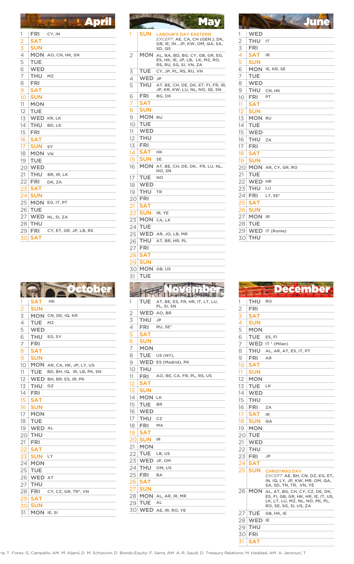| 1                                                       | <b>FRI</b> | CY, IN                 |
|---------------------------------------------------------|------------|------------------------|
| $\frac{2}{3}$ $\frac{3}{4}$ $\frac{4}{5}$ $\frac{5}{6}$ | <b>SAT</b> |                        |
|                                                         | SUN        |                        |
|                                                         |            | MON AO, CN, HK, SN     |
|                                                         | TUE        |                        |
|                                                         | <b>WED</b> |                        |
| $\overline{7}$                                          | THU        | MZ                     |
| 8                                                       | <b>FRI</b> |                        |
| 9                                                       | <b>SAT</b> |                        |
| 10                                                      | SUN        |                        |
| 11                                                      | <b>MON</b> |                        |
| 12                                                      | TUE        |                        |
| 13                                                      |            | <b>WED KR, LK</b>      |
| 14                                                      | THU        | BD, LK                 |
| 15                                                      | <b>FRI</b> |                        |
| 16                                                      | <b>SAT</b> |                        |
| 17                                                      | <b>SUN</b> | SY                     |
| 18                                                      | MON        | <b>VN</b>              |
| 19                                                      | TUE        |                        |
| 20                                                      | WED        |                        |
| 21                                                      | THU        | BR, IR, LK             |
| 22                                                      | FRI        | DK, ZA                 |
| 23                                                      | <b>SAT</b> |                        |
| 24                                                      | <b>SUN</b> |                        |
| 25                                                      |            | MON EG, IT, PT         |
| 26                                                      | TUE        |                        |
| 27                                                      |            | WED NL, SI, ZA         |
| 28                                                      | <b>THU</b> |                        |
| 29                                                      | FRI        | CY, ET, GR, JP, LB, RS |
| 30                                                      | <b>SAT</b> |                        |

| 1                        | <b>SAT</b> | HK                         |
|--------------------------|------------|----------------------------|
| $\overline{2}$           | <b>SUN</b> |                            |
| $\overline{3}$           | MON        | CN, DE, IQ, KR             |
| $\overline{\mathcal{L}}$ | TUE        | MZ                         |
| $\frac{5}{6}$            | WED        |                            |
|                          | THU        | EG, SY                     |
| $\overline{1}$           | FRI        |                            |
| 8                        | <b>SAT</b> |                            |
| $\overline{9}$           | <b>SUN</b> |                            |
| 10                       |            | MON AR, CA, HK, JP, LY, US |
| 11                       | TUE        | BD, BH, IQ, IR, LB, PK, SN |
| 12                       | <b>WED</b> | BH, BR, ES, IR, PK         |
| 13                       | THU        | DZ                         |
| 14                       | <b>FRI</b> |                            |
| 15                       | <b>SAT</b> |                            |
| 16                       | <b>SUN</b> |                            |
| 17                       | <b>MON</b> |                            |
| 18                       | <b>TUE</b> |                            |
| 19                       | WED AL     |                            |
| 20                       | THU        |                            |
| 21                       | <b>FRI</b> |                            |
| 22                       | <b>SAT</b> |                            |
| 23                       | <b>SUN</b> | LY                         |
| 24                       | <b>MON</b> |                            |
| 25                       | <b>TUE</b> |                            |
| 26                       | WED AT     |                            |
| 27                       | THU        |                            |
| 28                       | FRI        | CY, CZ, GR, TR*, VN        |
| 29                       | <b>SAT</b> |                            |
| 30                       | <b>SUN</b> |                            |
| 31                       | MON IE, SI |                            |

| <b>Apr</b>                                                                                                                    |                  |                 | <b>May</b>                                                |                   |                          | June                                                                   |
|-------------------------------------------------------------------------------------------------------------------------------|------------------|-----------------|-----------------------------------------------------------|-------------------|--------------------------|------------------------------------------------------------------------|
| FRI<br>CY, IN                                                                                                                 | 1                | SUN             | <b>LABOUR'S DAY EASTERN</b>                               | 1                 | WED                      |                                                                        |
| 5AT                                                                                                                           |                  |                 | EXCEPT: AE, CA, CH (GEN.), DK,                            | $\overline{2}$    | THU IT                   |                                                                        |
| <b>SUN</b>                                                                                                                    |                  |                 | GB, IE, IN, JP, KW, OM, QA, SA,<br>SD, QS                 | 3                 | <b>FRI</b>               |                                                                        |
| <b>1ON</b> AO, CN, HK, SN                                                                                                     | 2                |                 | MON AL, BA, BD, BG, CY, GB, GR, EG,                       | 4                 | <b>SAT</b>               | IR                                                                     |
| ГUЕ                                                                                                                           |                  |                 | ES, HK, IE, JP, LB, LK, MZ, RO,<br>RS, RU, SG, SI, VN, ZA | 5                 | <b>SUN</b>               |                                                                        |
| NED                                                                                                                           | 3                | TUE             | CY, JP, PL, RS, RU, VN                                    | 6                 |                          | MON IE, KR, SE                                                         |
| THU.<br>MZ                                                                                                                    | 4                | WED JP          |                                                           | 7                 | TUE                      |                                                                        |
| FRI                                                                                                                           | 5                | THU             | AT, BE, CH, DE, DK, ET, FI, FR, IR,                       | 8                 | <b>WED</b>               |                                                                        |
| SAT                                                                                                                           |                  |                 | JP, KR, KW, LU, NL, NO, SE, SN                            | 9                 | THU                      | CN, HK                                                                 |
| <b>SUN</b>                                                                                                                    | 6                | <b>FRI</b>      | BG, DK                                                    | 10                | <b>FRI</b>               | PT                                                                     |
| 1ON                                                                                                                           | 7                | <b>SAT</b>      |                                                           | 11                | <b>SAT</b>               |                                                                        |
| ГUЕ                                                                                                                           | 8                | <b>SUN</b>      |                                                           | 12                | <b>SUN</b>               |                                                                        |
| NED KR, LK                                                                                                                    | 9                | MON RU          |                                                           | 13                | MON RU                   |                                                                        |
| THU<br>BD, LK                                                                                                                 | 10               | <b>TUE</b>      |                                                           | 14                | <b>TUE</b>               |                                                                        |
| FRI.                                                                                                                          | 11               | <b>WED</b>      |                                                           | 15                | <b>WED</b>               |                                                                        |
| 5AT                                                                                                                           | 12               | <b>THU</b>      |                                                           | 16                | THU ZA                   |                                                                        |
| SUN.<br>SY                                                                                                                    | 13               | <b>FRI</b>      |                                                           | 17                | <b>FRI</b>               |                                                                        |
| 10N vn                                                                                                                        | 14               | <b>SAT</b>      | HK                                                        | 18                | <b>SAT</b>               |                                                                        |
| ГUЕ                                                                                                                           | 15               | <b>SUN</b>      | <b>SE</b><br>MON AT, BE, CH, DE, DK, FR, LU, NL,          | 19                | <b>SUN</b>               |                                                                        |
| NED                                                                                                                           | 16               |                 | NO, SN                                                    |                   |                          | 20 MON AR, CY, GR, RO                                                  |
| THU<br>BR, IR, LK                                                                                                             | 17               | TUE.            | <b>NO</b>                                                 | 21                | <b>TUE</b>               |                                                                        |
| FRI.<br>DK, ZA                                                                                                                | 18               | <b>WED</b>      |                                                           | 22                | WED HR                   |                                                                        |
| ӟАТ                                                                                                                           | 19               | <b>THU</b>      | <b>TR</b>                                                 | 23                | <b>THU</b>               | LU                                                                     |
| <b>SUN</b>                                                                                                                    |                  | $20$ FRI        |                                                           |                   | $24$ FRI                 | LT, SE*                                                                |
| $\mathsf{4ON}\;$ Eg, it, pt                                                                                                   | 21               | <b>SAT</b>      |                                                           | 25                | <b>SAT</b>               |                                                                        |
| ГUЕ                                                                                                                           | 22               | <b>SUN</b>      | IR, YE                                                    | 26                | <b>SUN</b>               |                                                                        |
| NED NL, SI, ZA                                                                                                                | 23               | MON CA, LK      |                                                           | 27                | <b>MON IR</b>            |                                                                        |
| rhu                                                                                                                           | 24               | <b>TUE</b>      |                                                           |                   | 28 TUE                   |                                                                        |
| FRI<br>CY, ET, GR, JP, LB, RS                                                                                                 | 25               |                 | WED AR, JO, LB, MR                                        |                   |                          | 29 WED IT (Rome)                                                       |
| 5AT                                                                                                                           | 26               | <b>THU</b>      | AT, BR, HR, PL                                            |                   | <b>30 THU</b>            |                                                                        |
|                                                                                                                               | 27               | <b>FRI</b>      |                                                           |                   |                          |                                                                        |
|                                                                                                                               | 28               | <b>SAT</b>      |                                                           |                   |                          |                                                                        |
|                                                                                                                               | 29               | <b>SUN</b>      |                                                           |                   |                          |                                                                        |
|                                                                                                                               |                  |                 |                                                           |                   |                          |                                                                        |
|                                                                                                                               |                  |                 | 30 MON GB, US                                             |                   |                          |                                                                        |
|                                                                                                                               | 31               | TUE             |                                                           |                   |                          |                                                                        |
|                                                                                                                               |                  |                 |                                                           |                   |                          |                                                                        |
|                                                                                                                               |                  |                 |                                                           |                   |                          | <b>December</b>                                                        |
|                                                                                                                               |                  |                 |                                                           |                   |                          |                                                                        |
| 5АТ<br>HK                                                                                                                     | 1                | TUE             | AT, BE, ES, FR, HR, IT, LT, LU,<br>PL, SI, SN             | 1                 | THU                      | <b>RO</b>                                                              |
| <b>SUN</b>                                                                                                                    | $\overline{2}$   |                 | WED AO, BR                                                | 2                 | <b>FRI</b>               |                                                                        |
| <b>YON</b> CN, DE, IQ, KR                                                                                                     | 3                | THU             | JP                                                        | 3                 | SAT                      |                                                                        |
| <b>TUE</b> MZ                                                                                                                 | 4                | FRI             | RU, SE*                                                   | 4                 | <b>SUN</b>               |                                                                        |
| NED                                                                                                                           | 5                | <b>SAT</b>      |                                                           | 5                 | <b>MON</b><br>TUE ES, FI |                                                                        |
| <b>FHU</b> EG, SY<br>FRI.                                                                                                     | 6                | <b>SUN</b>      |                                                           | 6<br>7            |                          | WED IT * (Milan)                                                       |
|                                                                                                                               | 7                | <b>MON</b>      |                                                           |                   | THU                      | AL, AR, AT, ES, IT, PT                                                 |
|                                                                                                                               | 8                |                 | TUE US (NY),                                              | 8<br>9            | <b>FRI</b>               | AR                                                                     |
|                                                                                                                               | 9                |                 | WED ES (Madrid), PK                                       | 10                | <b>SAT</b>               |                                                                        |
|                                                                                                                               | 10 <sup>1</sup>  | <b>THU</b>      |                                                           | 11                | <b>SUN</b>               |                                                                        |
| SAT<br>SUN<br><b>MON</b> AR, CA, HK, JP, LY, US<br><b>TUE</b> BD, BH, IQ, IR, LB, PK, SN<br>$N\mathsf{ED}$ bh, br, es, ir, pk | 11.              | FRI             | AO, BE, CA, FR, PL, RS, US                                | $12 \overline{ }$ | <b>MON</b>               |                                                                        |
|                                                                                                                               | 12               | <b>SAT</b>      |                                                           | 13                | TUE LK                   |                                                                        |
| THU DZ<br>FRI.                                                                                                                | 13               | <b>SUN</b>      |                                                           | 14                | WED                      |                                                                        |
| SAT                                                                                                                           | 14               | MON LK          |                                                           | 15                | THU                      |                                                                        |
| SUN                                                                                                                           | 15               | TUE             | BR                                                        | 16                | FRI                      | ZA                                                                     |
| MON                                                                                                                           |                  | 16   WED        |                                                           | 17                | <b>SAT</b>               | IR                                                                     |
|                                                                                                                               | 17 <sup>17</sup> | THU CZ          |                                                           | 18                | <b>SUN</b>               | QA                                                                     |
| ГUЕ<br><b>NED</b> al                                                                                                          | 18               | FRI             | MA                                                        |                   | $19 \mid MON$            |                                                                        |
| гни                                                                                                                           | 19               | <b>SAT</b>      |                                                           |                   | <b>20 TUE</b>            |                                                                        |
| FRI.                                                                                                                          |                  | 20 SUN IR       |                                                           | 21                | WED                      |                                                                        |
| SAT                                                                                                                           |                  | 21   <b>MON</b> |                                                           |                   | $22$ THU                 |                                                                        |
| <b>SUN</b> LY                                                                                                                 |                  | $22$ TUE LB, US |                                                           |                   | $23$ FRI                 | JP                                                                     |
| MON                                                                                                                           |                  | 23 WED JP, OM   |                                                           |                   | $24$ SAT                 |                                                                        |
| ГUЕ                                                                                                                           |                  | 24 THU          | OM, US                                                    |                   | $25$ SUN                 | <b>CHRISTMAS DAY</b>                                                   |
| <b>NED</b> AT                                                                                                                 |                  | $25$ FRI        | BA                                                        |                   |                          | EXCEPT: AE, BH, CN, DZ, EG, ET,                                        |
| THU.                                                                                                                          |                  | 26 SAT          |                                                           |                   |                          | IN, IQ, LY, JP, KW, MR, OM, QA,<br>SA, SD, TN, TR, VN, YE              |
| FRI.<br>CY, CZ, GR, TR*, VN                                                                                                   |                  | 27   SUN        |                                                           |                   |                          | 26 MON AL, AT, BG, CH, CY, CZ, DE, DK,                                 |
| sАT                                                                                                                           |                  |                 | 28 MON AL, AR, IR, MR                                     |                   |                          | ES, FI, GB, GR, HK, HR, IE, IT, US,<br>LK, LT, LU, MZ, NL, NO, PK, PL, |
| <b>SUN</b><br><b>MON</b> IE, SI                                                                                               |                  | 29 TUE          | AL<br>30 WED AE, IR, RO, YE                               |                   |                          | RO, SE, SG, SI, US, ZA<br>$27$ TUE GB, HK, IE                          |

| 1                                   | WED            |                    |
|-------------------------------------|----------------|--------------------|
| $\overline{2}$                      | THU            | IT                 |
|                                     | FRI            |                    |
| $\frac{3}{4}$<br>$\frac{4}{5}$<br>6 | <b>SAT</b>     | IR                 |
|                                     | <b>SUN</b>     |                    |
|                                     | MON            | IE, KR, SE         |
| 7                                   | TUE            |                    |
| 8                                   | <b>WED</b>     |                    |
| 9                                   | THU            | CN, HK             |
| 10                                  | <b>FRI</b>     | PT                 |
| 11                                  | <b>SAT</b>     |                    |
| 12                                  | <b>SUN</b>     |                    |
| 13                                  | $\mathsf{MON}$ | RU                 |
| 14                                  | <b>TUE</b>     |                    |
| 15                                  | <b>WED</b>     |                    |
| 16                                  | <b>THU</b>     | ZA                 |
| 17                                  | <b>FRI</b>     |                    |
| 18                                  | <b>SAT</b>     |                    |
| 19                                  | <b>SUN</b>     |                    |
| 20 <sup>°</sup>                     |                | MON AR, CY, GR, RO |
| 21                                  | TUE            |                    |
| 22                                  | WED            | HR                 |
| 23                                  | <b>THU</b>     | LU                 |
| 24                                  | FRI            | LT, SE*            |
| 25                                  | <b>SAT</b>     |                    |
|                                     | 26 SUN         |                    |
| 27 <sup>1</sup>                     | <b>MON</b>     | IR                 |
| 28                                  | TUE            |                    |
|                                     |                | 29 WED IT (Rome)   |
| 30                                  | <b>THU</b>     |                    |

| 1                                                                | THU        | RO                                                                                                                                  |
|------------------------------------------------------------------|------------|-------------------------------------------------------------------------------------------------------------------------------------|
|                                                                  | FRI        |                                                                                                                                     |
|                                                                  | SAT        |                                                                                                                                     |
|                                                                  | SUN        |                                                                                                                                     |
|                                                                  | MON        |                                                                                                                                     |
| $\frac{2}{3}$<br>$\frac{3}{4}$<br>$\frac{4}{5}$<br>$\frac{5}{6}$ | TUE        | ES, FI                                                                                                                              |
| $\overline{7}$                                                   | <b>WED</b> | IT * (Milan)                                                                                                                        |
| 8                                                                | THU        | AL, AR, AT, ES, IT, PT                                                                                                              |
| $\overline{9}$                                                   | FRI        | <b>AR</b>                                                                                                                           |
| 10                                                               | SAT        |                                                                                                                                     |
| 11                                                               | SUN        |                                                                                                                                     |
| 12                                                               | <b>MON</b> |                                                                                                                                     |
| 13                                                               | <b>TUE</b> | LK                                                                                                                                  |
| 14                                                               | <b>WED</b> |                                                                                                                                     |
| 15                                                               | THU        |                                                                                                                                     |
| 16                                                               | FRI        | ZA                                                                                                                                  |
| 17                                                               | SAT        | IR                                                                                                                                  |
| 18                                                               | SUN        | QA                                                                                                                                  |
| 19                                                               | MON        |                                                                                                                                     |
| 20                                                               | <b>TUE</b> |                                                                                                                                     |
| 21                                                               | <b>WED</b> |                                                                                                                                     |
| 22                                                               | THU        |                                                                                                                                     |
| 23                                                               | FRI        | JP                                                                                                                                  |
| 24                                                               | SAT        |                                                                                                                                     |
| 25                                                               | <b>SUN</b> | <b>CHRISTMAS DAY</b><br>EXCEPT: AE, BH, CN, DZ, EG, ET,<br>IN, IQ, LY, JP, KW, MR, OM, QA,<br>SA, SD, TN, TR, VN, YE                |
| $\overline{26}$                                                  | <b>MON</b> | AL, AT, BG, CH, CY, CZ, DE, DK,<br>ES, FI, GB, GR, HK, HR, IE, IT, US,<br>LK, LT, LU, MZ, NL, NO, PK, PL,<br>RO, SE, SG, SI, US, ZA |
| 27                                                               | <b>TUE</b> | GB, HK, IE                                                                                                                          |
| 28                                                               | <b>WED</b> | IΕ                                                                                                                                  |
| 29                                                               | THU        |                                                                                                                                     |
| 30                                                               | <b>FRI</b> |                                                                                                                                     |
| 31                                                               | <b>SAT</b> |                                                                                                                                     |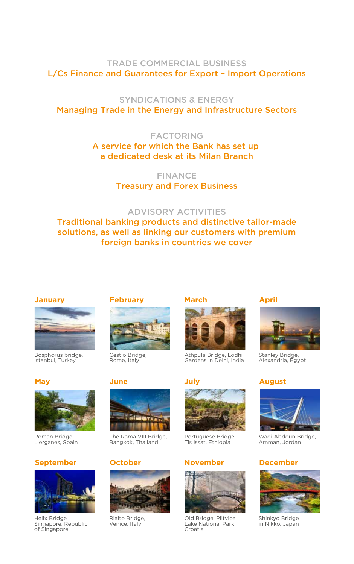# TRADE COMMERCIAL BUSINESS L/Cs Finance and Guarantees for Export – Import Operations

# SYNDICATIONS & ENERGY Managing Trade in the Energy and Infrastructure Sectors

# FACTORING A service for which the Bank has set up a dedicated desk at its Milan Branch

FINANCE Treasury and Forex Business

# ADVISORY ACTIVITIES

Traditional banking products and distinctive tailor-made solutions, as well as linking our customers with premium foreign banks in countries we cover



Bosphorus bridge, Istanbul, Turkey



Roman Bridge, Lierganes, Spain

# **September**



Helix Bridge Singapore, Republic of Singapore

# **January March February March**



Cestio Bridge, Rome, Italy

# **May June**



The Rama VIII Bridge, Bangkok, Thailand

# **October**



Rialto Bridge, Venice, Italy



Athpula Bridge, Lodhi Gardens in Delhi, India



Portuguese Bridge, Tis Issat, Ethiopia

# **November December**



Old Bridge, Plitvice Lake National Park, Croatia

# **April**



Stanley Bridge, Alexandria, Egypt

# **July August**



Wadi Abdoun Bridge, Amman, Jordan



Shinkyo Bridge in Nikko, Japan